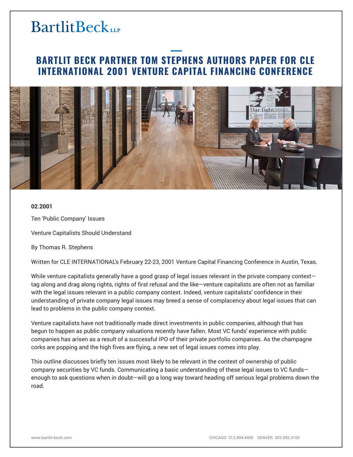# **BARTLIT BECK PARTNER TOM STEPHENS AUTHORS PAPER FOR CLE INTERNATIONAL 2001 VENTURE CAPITAL FINANCING CONFERENCE**



### **02.2001**

Ten 'Public Company' Issues

Venture Capitalists Should Understand

By Thomas R. Stephens

Written for CLE INTERNATIONAL's February 22-23, 2001 Venture Capital Financing Conference in Austin, Texas.

While venture capitalists generally have a good grasp of legal issues relevant in the private company contexttag along and drag along rights, rights of first refusal and the like—venture capitalists are often not as familiar with the legal issues relevant in a public company context. Indeed, venture capitalists' confidence in their understanding of private company legal issues may breed a sense of complacency about legal issues that can lead to problems in the public company context.

Venture capitalists have not traditionally made direct investments in public companies, although that has begun to happen as public company valuations recently have fallen. Most VC funds' experience with public companies has arisen as a result of a successful IPO of their private portfolio companies. As the champagne corks are popping and the high fives are flying, a new set of legal issues comes into play.

This outline discusses briefly ten issues most likely to be relevant in the context of ownership of public company securities by VC funds. Communicating a basic understanding of these legal issues to VC funds enough to ask questions when in doubt—will go a long way toward heading off serious legal problems down the road.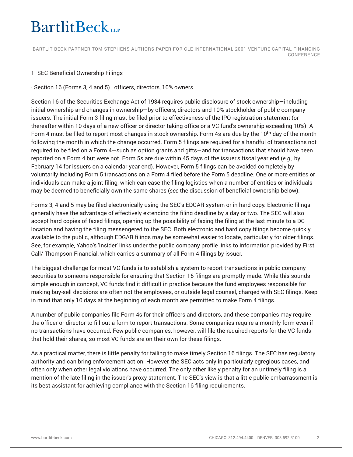BARTLIT BECK PARTNER TOM STEPHENS AUTHORS PAPER FOR CLE INTERNATIONAL 2001 VENTURE CAPITAL FINANCING CONFERENCE

# 1. SEC Beneficial Ownership Filings

· Section 16 (Forms 3, 4 and 5) officers, directors, 10% owners

Section 16 of the Securities Exchange Act of 1934 requires public disclosure of stock ownership—including initial ownership and changes in ownership—by officers, directors and 10% stockholder of public company issuers. The initial Form 3 filing must be filed prior to effectiveness of the IPO registration statement (or thereafter within 10 days of a new officer or director taking office or a VC fund's ownership exceeding 10%). A Form 4 must be filed to report most changes in stock ownership. Form 4s are due by the 10<sup>th</sup> day of the month following the month in which the change occurred. Form 5 filings are required for a handful of transactions not required to be filed on a Form 4—such as option grants and gifts—and for transactions that should have been reported on a Form 4 but were not. Form 5s are due within 45 days of the issuer's fiscal year end (*e.g.,* by February 14 for issuers on a calendar year end). However, Form 5 filings can be avoided completely by voluntarily including Form 5 transactions on a Form 4 filed before the Form 5 deadline. One or more entities or individuals can make a joint filing, which can ease the filing logistics when a number of entities or individuals may be deemed to beneficially own the same shares (*see* the discussion of beneficial ownership below).

Forms 3, 4 and 5 may be filed electronically using the SEC's EDGAR system or in hard copy. Electronic filings generally have the advantage of effectively extending the filing deadline by a day or two. The SEC will also accept hard copies of faxed filings, opening up the possibility of faxing the filing at the last minute to a DC location and having the filing messengered to the SEC. Both electronic and hard copy filings become quickly available to the public, although EDGAR filings may be somewhat easier to locate, particularly for older filings. See, for example, Yahoo's 'Insider' links under the public company profile links to information provided by First Call/ Thompson Financial, which carries a summary of all Form 4 filings by issuer.

The biggest challenge for most VC funds is to establish a system to report transactions in public company securities to someone responsible for ensuring that Section 16 filings are promptly made. While this sounds simple enough in concept, VC funds find it difficult in practice because the fund employees responsible for making buy-sell decisions are often not the employees, or outside legal counsel, charged with SEC filings. Keep in mind that only 10 days at the beginning of each month are permitted to make Form 4 filings.

A number of public companies file Form 4s for their officers and directors, and these companies may require the officer or director to fill out a form to report transactions. Some companies require a monthly form even if no transactions have occurred. Few public companies, however, will file the required reports for the VC funds that hold their shares, so most VC funds are on their own for these filings.

As a practical matter, there is little penalty for failing to make timely Section 16 filings. The SEC has regulatory authority and can bring enforcement action. However, the SEC acts only in particularly egregious cases, and often only when other legal violations have occurred. The only other likely penalty for an untimely filing is a mention of the late filing in the issuer's proxy statement. The SEC's view is that a little public embarrassment is its best assistant for achieving compliance with the Section 16 filing requirements.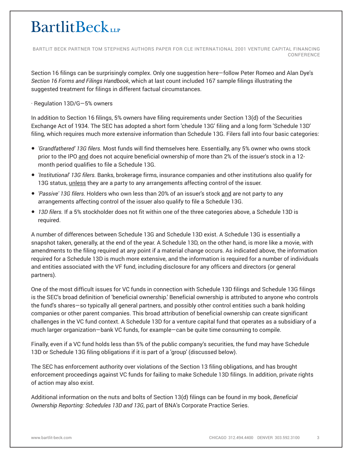BARTLIT BECK PARTNER TOM STEPHENS AUTHORS PAPER FOR CLE INTERNATIONAL 2001 VENTURE CAPITAL FINANCING CONFERENCE

Section 16 filings can be surprisingly complex. Only one suggestion here—follow Peter Romeo and Alan Dye's *Section 16 Forms and Filings Handbook*, which at last count included 167 sample filings illustrating the suggested treatment for filings in different factual circumstances.

· Regulation 13D/G—5% owners

In addition to Section 16 filings, 5% owners have filing requirements under Section 13(d) of the Securities Exchange Act of 1934. The SEC has adopted a short form 'chedule 13G' filing and a long form 'Schedule 13D' filing, which requires much more extensive information than Schedule 13G. Filers fall into four basic categories:

- *'Grandfathered' 13G filers.* Most funds will find themselves here. Essentially, any 5% owner who owns stock prior to the IPO and does not acquire beneficial ownership of more than 2% of the issuer's stock in a 12month period qualifies to file a Schedule 13G.
- *'Institutional' 13G filers.* Banks, brokerage firms, insurance companies and other institutions also qualify for 13G status, unless they are a party to any arrangements affecting control of the issuer.
- *'Passive' 13G filers.* Holders who own less than 20% of an issuer's stock and are not party to any arrangements affecting control of the issuer also qualify to file a Schedule 13G.
- *13D filers.* If a 5% stockholder does not fit within one of the three categories above, a Schedule 13D is required.

A number of differences between Schedule 13G and Schedule 13D exist. A Schedule 13G is essentially a snapshot taken, generally, at the end of the year. A Schedule 13D, on the other hand, is more like a movie, with amendments to the filing required at any point if a material change occurs. As indicated above, the information required for a Schedule 13D is much more extensive, and the information is required for a number of individuals and entities associated with the VF fund, including disclosure for any officers and directors (or general partners).

One of the most difficult issues for VC funds in connection with Schedule 13D filings and Schedule 13G filings is the SEC's broad definition of 'beneficial ownership.' Beneficial ownership is attributed to anyone who controls the fund's shares—so typically all general partners, and possibly other control entities such a bank holding companies or other parent companies. This broad attribution of beneficial ownership can create significant challenges in the VC fund context. A Schedule 13D for a venture capital fund that operates as a subsidiary of a much larger organization—bank VC funds, for example—can be quite time consuming to compile.

Finally, even if a VC fund holds less than 5% of the public company's securities, the fund may have Schedule 13D or Schedule 13G filing obligations if it is part of a 'group' (discussed below).

The SEC has enforcement authority over violations of the Section 13 filing obligations, and has brought enforcement proceedings against VC funds for failing to make Schedule 13D filings. In addition, private rights of action may also exist.

Additional information on the nuts and bolts of Section 13(d) filings can be found in my book, *Beneficial Ownership Reporting: Schedules 13D and 13G*, part of BNA's Corporate Practice Series.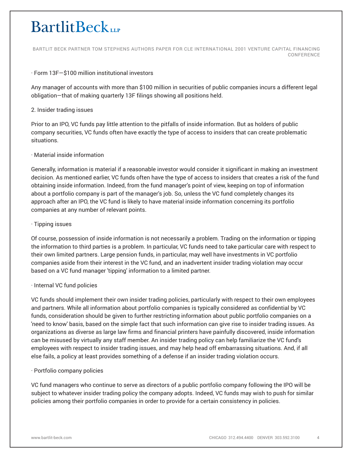BARTLIT BECK PARTNER TOM STEPHENS AUTHORS PAPER FOR CLE INTERNATIONAL 2001 VENTURE CAPITAL FINANCING CONFERENCE

### · Form 13F—\$100 million institutional investors

Any manager of accounts with more than \$100 million in securities of public companies incurs a different legal obligation—that of making quarterly 13F filings showing all positions held.

### 2. Insider trading issues

Prior to an IPO, VC funds pay little attention to the pitfalls of inside information. But as holders of public company securities, VC funds often have exactly the type of access to insiders that can create problematic situations.

### · Material inside information

Generally, information is material if a reasonable investor would consider it significant in making an investment decision. As mentioned earlier, VC funds often have the type of access to insiders that creates a risk of the fund obtaining inside information. Indeed, from the fund manager's point of view, keeping on top of information about a portfolio company is part of the manager's job. So, unless the VC fund completely changes its approach after an IPO, the VC fund is likely to have material inside information concerning its portfolio companies at any number of relevant points.

### · Tipping issues

Of course, possession of inside information is not necessarily a problem. Trading on the information or tipping the information to third parties is a problem. In particular, VC funds need to take particular care with respect to their own limited partners. Large pension funds, in particular, may well have investments in VC portfolio companies aside from their interest in the VC fund, and an inadvertent insider trading violation may occur based on a VC fund manager 'tipping' information to a limited partner.

# · Internal VC fund policies

VC funds should implement their own insider trading policies, particularly with respect to their own employees and partners. While all information about portfolio companies is typically considered as confidential by VC funds, consideration should be given to further restricting information about public portfolio companies on a 'need to know' basis, based on the simple fact that such information can give rise to insider trading issues. As organizations as diverse as large law firms and financial printers have painfully discovered, inside information can be misused by virtually any staff member. An insider trading policy can help familiarize the VC fund's employees with respect to insider trading issues, and may help head off embarrassing situations. And, if all else fails, a policy at least provides something of a defense if an insider trading violation occurs.

#### · Portfolio company policies

VC fund managers who continue to serve as directors of a public portfolio company following the IPO will be subject to whatever insider trading policy the company adopts. Indeed, VC funds may wish to push for similar policies among their portfolio companies in order to provide for a certain consistency in policies.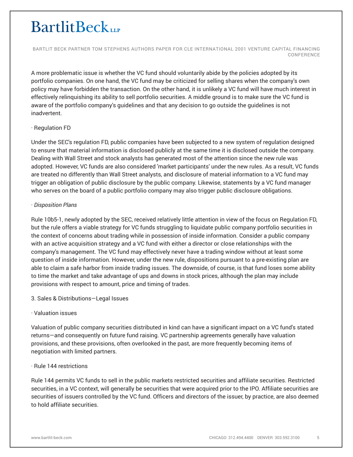BARTLIT BECK PARTNER TOM STEPHENS AUTHORS PAPER FOR CLE INTERNATIONAL 2001 VENTURE CAPITAL FINANCING CONFERENCE

A more problematic issue is whether the VC fund should voluntarily abide by the policies adopted by its portfolio companies. On one hand, the VC fund may be criticized for selling shares when the company's own policy may have forbidden the transaction. On the other hand, it is unlikely a VC fund will have much interest in effectively relinquishing its ability to sell portfolio securities. A middle ground is to make sure the VC fund is aware of the portfolio company's guidelines and that any decision to go outside the guidelines is not inadvertent.

# · Regulation FD

Under the SEC's regulation FD, public companies have been subjected to a new system of regulation designed to ensure that material information is disclosed publicly at the same time it is disclosed outside the company. Dealing with Wall Street and stock analysts has generated most of the attention since the new rule was adopted. However, VC funds are also considered 'market participants' under the new rules. As a result, VC funds are treated no differently than Wall Street analysts, and disclosure of material information to a VC fund may trigger an obligation of public disclosure by the public company. Likewise, statements by a VC fund manager who serves on the board of a public portfolio company may also trigger public disclosure obligations.

### · *Disposition Plans*

Rule 10b5-1, newly adopted by the SEC, received relatively little attention in view of the focus on Regulation FD, but the rule offers a viable strategy for VC funds struggling to liquidate public company portfolio securities in the context of concerns about trading while in possession of inside information. Consider a public company with an active acquisition strategy and a VC fund with either a director or close relationships with the company's management. The VC fund may effectively never have a trading window without at least some question of inside information. However, under the new rule, dispositions pursuant to a pre-existing plan are able to claim a safe harbor from inside trading issues. The downside, of course, is that fund loses some ability to time the market and take advantage of ups and downs in stock prices, although the plan may include provisions with respect to amount, price and timing of trades.

# 3. Sales & Distributions—Legal Issues

# · Valuation issues

Valuation of public company securities distributed in kind can have a significant impact on a VC fund's stated returns—and consequently on future fund raising. VC partnership agreements generally have valuation provisions, and these provisions, often overlooked in the past, are more frequently becoming items of negotiation with limited partners.

#### · Rule 144 restrictions

Rule 144 permits VC funds to sell in the public markets restricted securities and affiliate securities. Restricted securities, in a VC context, will generally be securities that were acquired prior to the IPO. Affiliate securities are securities of issuers controlled by the VC fund. Officers and directors of the issuer, by practice, are also deemed to hold affiliate securities.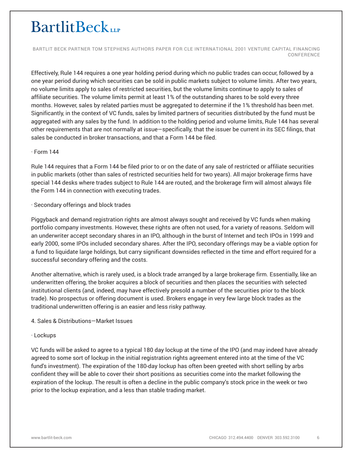BARTLIT BECK PARTNER TOM STEPHENS AUTHORS PAPER FOR CLE INTERNATIONAL 2001 VENTURE CAPITAL FINANCING CONFERENCE

Effectively, Rule 144 requires a one year holding period during which no public trades can occur, followed by a one year period during which securities can be sold in public markets subject to volume limits. After two years, no volume limits apply to sales of restricted securities, but the volume limits continue to apply to sales of affiliate securities. The volume limits permit at least 1% of the outstanding shares to be sold every three months. However, sales by related parties must be aggregated to determine if the 1% threshold has been met. Significantly, in the context of VC funds, sales by limited partners of securities distributed by the fund must be aggregated with any sales by the fund. In addition to the holding period and volume limits, Rule 144 has several other requirements that are not normally at issue—specifically, that the issuer be current in its SEC filings, that sales be conducted in broker transactions, and that a Form 144 be filed.

### · Form 144

Rule 144 requires that a Form 144 be filed prior to or on the date of any sale of restricted or affiliate securities in public markets (other than sales of restricted securities held for two years). All major brokerage firms have special 144 desks where trades subject to Rule 144 are routed, and the brokerage firm will almost always file the Form 144 in connection with executing trades.

### · Secondary offerings and block trades

Piggyback and demand registration rights are almost always sought and received by VC funds when making portfolio company investments. However, these rights are often not used, for a variety of reasons. Seldom will an underwriter accept secondary shares in an IPO, although in the burst of Internet and tech IPOs in 1999 and early 2000, some IPOs included secondary shares. After the IPO, secondary offerings may be a viable option for a fund to liquidate large holdings, but carry significant downsides reflected in the time and effort required for a successful secondary offering and the costs.

Another alternative, which is rarely used, is a block trade arranged by a large brokerage firm. Essentially, like an underwritten offering, the broker acquires a block of securities and then places the securities with selected institutional clients (and, indeed, may have effectively presold a number of the securities prior to the block trade). No prospectus or offering document is used. Brokers engage in very few large block trades as the traditional underwritten offering is an easier and less risky pathway.

#### 4. Sales & Distributions—Market Issues

#### · Lockups

VC funds will be asked to agree to a typical 180 day lockup at the time of the IPO (and may indeed have already agreed to some sort of lockup in the initial registration rights agreement entered into at the time of the VC fund's investment). The expiration of the 180-day lockup has often been greeted with short selling by arbs confident they will be able to cover their short positions as securities come into the market following the expiration of the lockup. The result is often a decline in the public company's stock price in the week or two prior to the lockup expiration, and a less than stable trading market.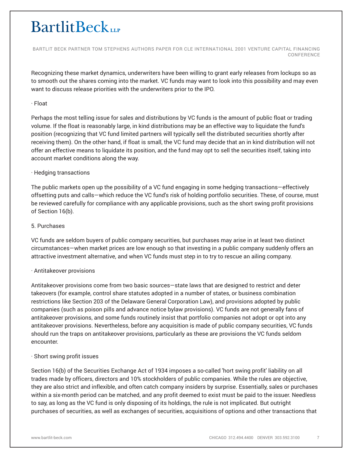BARTLIT BECK PARTNER TOM STEPHENS AUTHORS PAPER FOR CLE INTERNATIONAL 2001 VENTURE CAPITAL FINANCING CONFERENCE

Recognizing these market dynamics, underwriters have been willing to grant early releases from lockups so as to smooth out the shares coming into the market. VC funds may want to look into this possibility and may even want to discuss release priorities with the underwriters prior to the IPO.

### · Float

Perhaps the most telling issue for sales and distributions by VC funds is the amount of public float or trading volume. If the float is reasonably large, in kind distributions may be an effective way to liquidate the fund's position (recognizing that VC fund limited partners will typically sell the distributed securities shortly after receiving them). On the other hand, if float is small, the VC fund may decide that an in kind distribution will not offer an effective means to liquidate its position, and the fund may opt to sell the securities itself, taking into account market conditions along the way.

# · Hedging transactions

The public markets open up the possibility of a VC fund engaging in some hedging transactions—effectively offsetting puts and calls—which reduce the VC fund's risk of holding portfolio securities. These, of course, must be reviewed carefully for compliance with any applicable provisions, such as the short swing profit provisions of Section 16(b).

### 5. Purchases

VC funds are seldom buyers of public company securities, but purchases may arise in at least two distinct circumstances—when market prices are low enough so that investing in a public company suddenly offers an attractive investment alternative, and when VC funds must step in to try to rescue an ailing company.

# · Antitakeover provisions

Antitakeover provisions come from two basic sources—state laws that are designed to restrict and deter takeovers (for example, control share statutes adopted in a number of states, or business combination restrictions like Section 203 of the Delaware General Corporation Law), and provisions adopted by public companies (such as poison pills and advance notice bylaw provisions). VC funds are not generally fans of antitakeover provisions, and some funds routinely insist that portfolio companies not adopt or opt into any antitakeover provisions. Nevertheless, before any acquisition is made of public company securities, VC funds should run the traps on antitakeover provisions, particularly as these are provisions the VC funds seldom encounter.

# · Short swing profit issues

Section 16(b) of the Securities Exchange Act of 1934 imposes a so-called 'hort swing profit' liability on all trades made by officers, directors and 10% stockholders of public companies. While the rules are objective, they are also strict and inflexible, and often catch company insiders by surprise. Essentially, sales or purchases within a six-month period can be matched, and any profit deemed to exist must be paid to the issuer. Needless to say, as long as the VC fund is only disposing of its holdings, the rule is not implicated. But outright purchases of securities, as well as exchanges of securities, acquisitions of options and other transactions that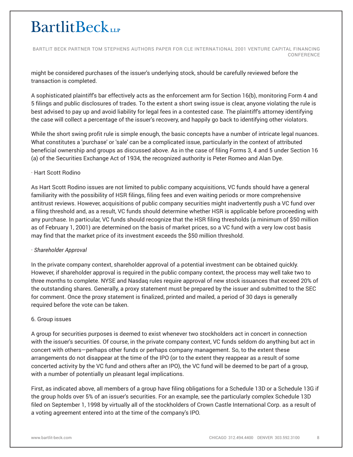BARTLIT BECK PARTNER TOM STEPHENS AUTHORS PAPER FOR CLE INTERNATIONAL 2001 VENTURE CAPITAL FINANCING CONFERENCE

might be considered purchases of the issuer's underlying stock, should be carefully reviewed before the transaction is completed.

A sophisticated plaintiff's bar effectively acts as the enforcement arm for Section 16(b), monitoring Form 4 and 5 filings and public disclosures of trades. To the extent a short swing issue is clear, anyone violating the rule is best advised to pay up and avoid liability for legal fees in a contested case. The plaintiff's attorney identifying the case will collect a percentage of the issuer's recovery, and happily go back to identifying other violators.

While the short swing profit rule is simple enough, the basic concepts have a number of intricate legal nuances. What constitutes a 'purchase' or 'sale' can be a complicated issue, particularly in the context of attributed beneficial ownership and groups as discussed above. As in the case of filing Forms 3, 4 and 5 under Section 16 (a) of the Securities Exchange Act of 1934, the recognized authority is Peter Romeo and Alan Dye.

# · Hart Scott Rodino

As Hart Scott Rodino issues are not limited to public company acquisitions, VC funds should have a general familiarity with the possibility of HSR filings, filing fees and even waiting periods or more comprehensive antitrust reviews. However, acquisitions of public company securities might inadvertently push a VC fund over a filing threshold and, as a result, VC funds should determine whether HSR is applicable before proceeding with any purchase. In particular, VC funds should recognize that the HSR filing thresholds (a minimum of \$50 million as of February 1, 2001) are determined on the basis of market prices, so a VC fund with a very low cost basis may find that the market price of its investment exceeds the \$50 million threshold.

# · *Shareholder Approval*

In the private company context, shareholder approval of a potential investment can be obtained quickly. However, if shareholder approval is required in the public company context, the process may well take two to three months to complete. NYSE and Nasdaq rules require approval of new stock issuances that exceed 20% of the outstanding shares. Generally, a proxy statement must be prepared by the issuer and submitted to the SEC for comment. Once the proxy statement is finalized, printed and mailed, a period of 30 days is generally required before the vote can be taken.

# 6. Group issues

A group for securities purposes is deemed to exist whenever two stockholders act in concert in connection with the issuer's securities. Of course, in the private company context, VC funds seldom do anything but act in concert with others—perhaps other funds or perhaps company management. So, to the extent these arrangements do not disappear at the time of the IPO (or to the extent they reappear as a result of some concerted activity by the VC fund and others after an IPO), the VC fund will be deemed to be part of a group, with a number of potentially un pleasant legal implications.

First, as indicated above, all members of a group have filing obligations for a Schedule 13D or a Schedule 13G if the group holds over 5% of an issuer's securities. For an example, see the particularly complex Schedule 13D filed on September 1, 1998 by virtually all of the stockholders of Crown Castle International Corp. as a result of a voting agreement entered into at the time of the company's IPO.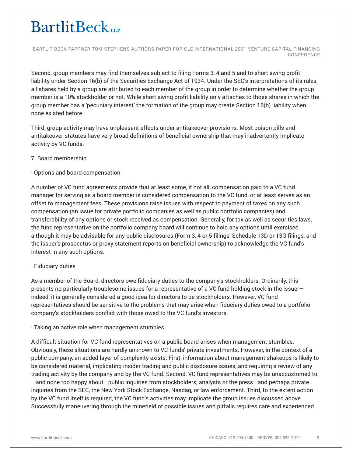BARTLIT BECK PARTNER TOM STEPHENS AUTHORS PAPER FOR CLE INTERNATIONAL 2001 VENTURE CAPITAL FINANCING CONFERENCE

Second, group members may find themselves subject to filing Forms 3, 4 and 5 and to short swing profit liability under Section 16(b) of the Securities Exchange Act of 1934. Under the SEC's interpretations of its rules, all shares held by a group are attributed to each member of the group in order to determine whether the group member is a 10% stockholder or not. While short swing profit liability only attaches to those shares in which the group member has a 'pecuniary interest,' the formation of the group may create Section 16(b) liability when none existed before.

Third, group activity may have unpleasant effects under antitakeover provisions. Most poison pills and antitakeover statutes have very broad definitions of beneficial ownership that may inadvertently implicate activity by VC funds.

### 7. Board membership

### · Options and board compensation

A number of VC fund agreements provide that at least some, if not all, compensation paid to a VC fund manager for serving as a board member is considered compensation to the VC fund, or at least serves as an offset to management fees. These provisions raise issues with respect to payment of taxes on any such compensation (an issue for private portfolio companies as well as public portfolio companies) and transferability of any options or stock received as compensation. Generally, for tax as well as securities laws, the fund representative on the portfolio company board will continue to hold any options until exercised, although it may be advisable for any public disclosures (Form 3, 4 or 5 filings, Schedule 13D or 13G filings, and the issuer's prospectus or proxy statement reports on beneficial ownership) to acknowledge the VC fund's interest in any such options.

# · Fiduciary duties

As a member of the Board, directors owe fiduciary duties to the company's stockholders. Ordinarily, this presents no particularly troublesome issues for a representative of a VC fund holding stock in the issuer indeed, it is generally considered a good idea for directors to be stockholders. However, VC fund representatives should be sensitive to the problems that may arise when fiduciary duties owed to a portfolio company's stockholders conflict with those owed to the VC fund's investors.

#### · Taking an active role when management stumbles

A difficult situation for VC fund representatives on a public board arises when management stumbles. Obviously, these situations are hardly unknown to VC funds' private investments. However, in the context of a public company, an added layer of complexity exists. First, information about management shakeups is likely to be considered material, implicating insider trading and public disclosure issues, and requiring a review of any trading activity by the company and by the VC fund. Second, VC fund representatives may be unaccustomed to —and none too happy about—public inquiries from stockholders, analysts or the press—and perhaps private inquiries from the SEC, the New York Stock Exchange, Nasdaq, or law enforcement. Third, to the extent action by the VC fund itself is required, the VC fund's activities may implicate the group issues discussed above. Successfully maneuvering through the minefield of possible issues and pitfalls requires care and experienced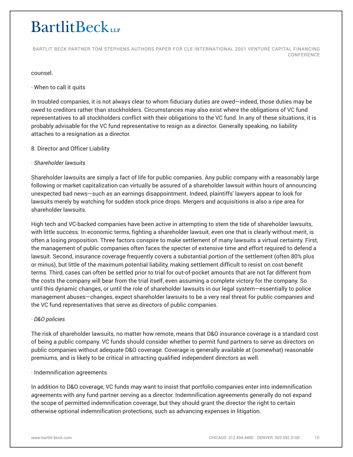BARTLIT BECK PARTNER TOM STEPHENS AUTHORS PAPER FOR CLE INTERNATIONAL 2001 VENTURE CAPITAL FINANCING CONFERENCE

#### counsel.

### · When to call it quits

In troubled companies, it is not always clear to whom fiduciary duties are owed—indeed, those duties may be owed to creditors rather than stockholders. Circumstances may also exist where the obligations of VC fund representatives to all stockholders conflict with their obligations to the VC fund. In any of these situations, it is probably advisable for the VC fund representative to resign as a director. Generally speaking, no liability attaches to a resignation as a director.

### 8. Director and Officer Liability

### *· Shareholder lawsuits*

Shareholder lawsuits are simply a fact of life for public companies. Any public company with a reasonably large following or market capitalization can virtually be assured of a shareholder lawsuit within hours of announcing unexpected bad news—such as an earnings disappointment. Indeed, plaintiffs' lawyers appear to look for lawsuits merely by watching for sudden stock price drops. Mergers and acquisitions is also a ripe area for shareholder lawsuits.

High tech and VC-backed companies have been active in attempting to stem the tide of shareholder lawsuits, with little success. In economic terms, fighting a shareholder lawsuit, even one that is clearly without merit, is often a losing proposition. Three factors conspire to make settlement of many lawsuits a virtual certainty. First, the management of public companies often faces the specter of extensive time and effort required to defend a lawsuit. Second, insurance coverage frequently covers a substantial portion of the settlement (often 80% plus or minus), but little of the maximum potential liability, making settlement difficult to resist on cost-benefit terms. Third, cases can often be settled prior to trial for out-of-pocket amounts that are not far different from the costs the company will bear from the trial itself, even assuming a complete victory for the company. So until this dynamic changes, or until the role of shareholder lawsuits in our legal system—essentially to police management abuses—changes, expect shareholder lawsuits to be a very real threat for public companies and the VC fund representatives that serve as directors of public companies.

#### *· D&O policies*

The risk of shareholder lawsuits, no matter how remote, means that D&O insurance coverage is a standard cost of being a public company. VC funds should consider whether to permit fund partners to serve as directors on public companies without adequate D&O coverage. Coverage is generally available at (somewhat) reasonable premiums, and is likely to be critical in attracting qualified independent directors as well.

#### · Indemnification agreements

In addition to D&O coverage, VC funds may want to insist that portfolio companies enter into indemnification agreements with any fund partner serving as a director. Indemnification agreements generally do not expand the scope of permitted indemnification coverage, but they should grant the director the right to certain otherwise optional indemnification protections, such as advancing expenses in litigation.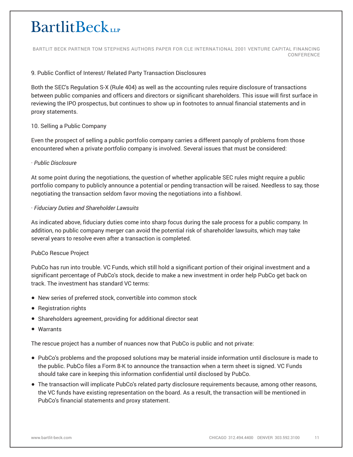BARTLIT BECK PARTNER TOM STEPHENS AUTHORS PAPER FOR CLE INTERNATIONAL 2001 VENTURE CAPITAL FINANCING CONFERENCE

# 9. Public Conflict of Interest/ Related Party Transaction Disclosures

Both the SEC's Regulation S-X (Rule 404) as well as the accounting rules require disclosure of transactions between public companies and officers and directors or significant shareholders. This issue will first surface in reviewing the IPO prospectus, but continues to show up in footnotes to annual financial statements and in proxy statements.

### 10. Selling a Public Company

Even the prospect of selling a public portfolio company carries a different panoply of problems from those encountered when a private portfolio company is involved. Several issues that must be considered:

### · *Public Disclosure*

At some point during the negotiations, the question of whether applicable SEC rules might require a public portfolio company to publicly announce a potential or pending transaction will be raised. Needless to say, those negotiating the transaction seldom favor moving the negotiations into a fishbowl.

### · *Fiduciary Duties and Shareholder Lawsuits*

As indicated above, fiduciary duties come into sharp focus during the sale process for a public company. In addition, no public company merger can avoid the potential risk of shareholder lawsuits, which may take several years to resolve even after a transaction is completed.

# PubCo Rescue Project

PubCo has run into trouble. VC Funds, which still hold a significant portion of their original investment and a significant percentage of PubCo's stock, decide to make a new investment in order help PubCo get back on track. The investment has standard VC terms:

- New series of preferred stock, convertible into common stock
- Registration rights
- Shareholders agreement, providing for additional director seat
- Warrants

The rescue project has a number of nuances now that PubCo is public and not private:

- PubCo's problems and the proposed solutions may be material inside information until disclosure is made to the public. PubCo files a Form 8-K to announce the transaction when a term sheet is signed. VC Funds should take care in keeping this information confidential until disclosed by PubCo.
- The transaction will implicate PubCo's related party disclosure requirements because, among other reasons, the VC funds have existing representation on the board. As a result, the transaction will be mentioned in PubCo's financial statements and proxy statement.